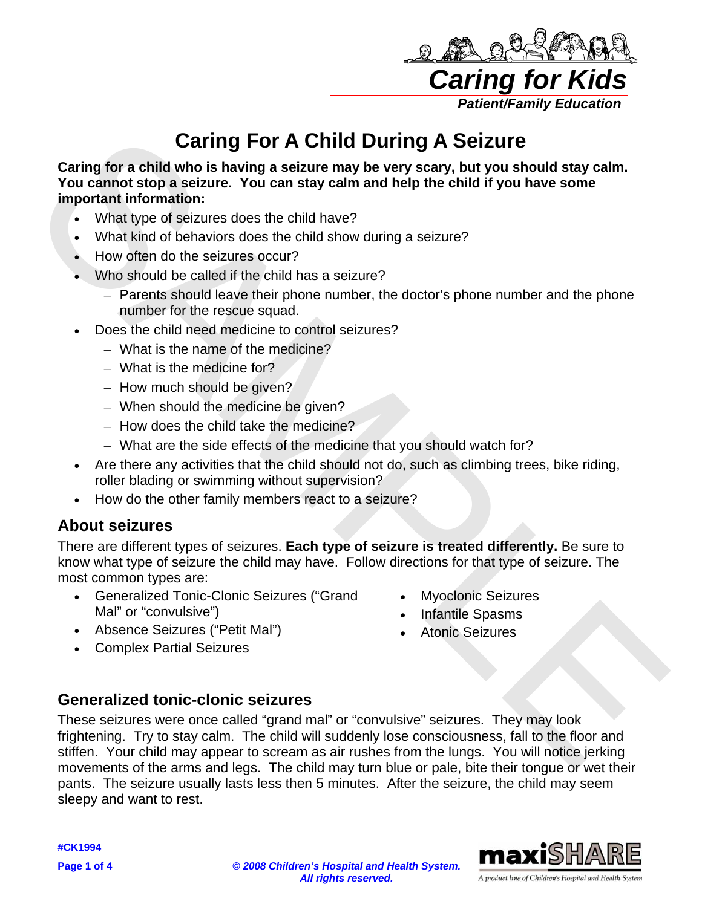

# **Caring For A Child During A Seizure**

**Caring for a child who is having a seizure may be very scary, but you should stay calm. You cannot stop a seizure. You can stay calm and help the child if you have some important information:**

- What type of seizures does the child have?
- What kind of behaviors does the child show during a seizure?
- How often do the seizures occur?
- Who should be called if the child has a seizure?
	- Parents should leave their phone number, the doctor's phone number and the phone number for the rescue squad.
- Does the child need medicine to control seizures?
	- What is the name of the medicine?
	- What is the medicine for?
	- How much should be given?
	- When should the medicine be given?
	- How does the child take the medicine?
	- What are the side effects of the medicine that you should watch for?
- Are there any activities that the child should not do, such as climbing trees, bike riding, roller blading or swimming without supervision?
- How do the other family members react to a seizure?

## **About seizures**

There are different types of seizures. **Each type of seizure is treated differently.** Be sure to know what type of seizure the child may have. Follow directions for that type of seizure. The most common types are:

- Generalized Tonic-Clonic Seizures ("Grand Mal" or "convulsive")
- Myoclonic Seizures
- Infantile Spasms
- Absence Seizures ("Petit Mal")
- Complex Partial Seizures

• Atonic Seizures

## **Generalized tonic-clonic seizures**

**Carring For A Child During A Seizure<br>
Carring for a child who is having a seizure. You can stay calm<br>
You cannot stop a seizure. You can stay calm may be very scary, but you should stay calm<br>
Important information:<br>
What** These seizures were once called "grand mal" or "convulsive" seizures. They may look frightening. Try to stay calm. The child will suddenly lose consciousness, fall to the floor and stiffen. Your child may appear to scream as air rushes from the lungs. You will notice jerking movements of the arms and legs. The child may turn blue or pale, bite their tongue or wet their pants. The seizure usually lasts less then 5 minutes. After the seizure, the child may seem sleepy and want to rest.



A product line of Children's Hospital and Health System

**Page 1 of 4** *© 2008 Children's Hospital and Health System. All rights reserved.*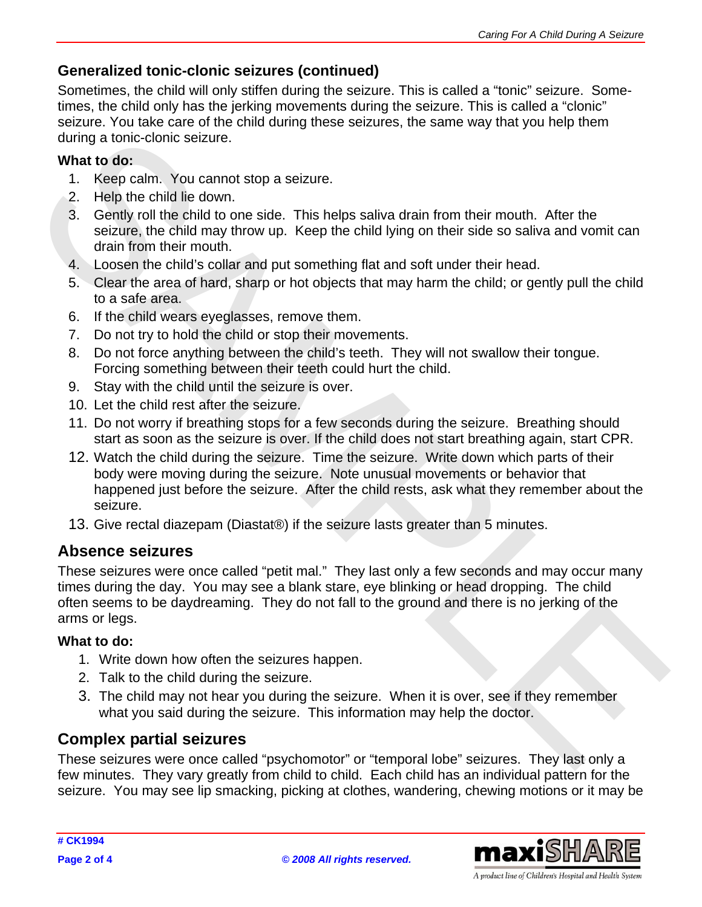## **Generalized tonic-clonic seizures (continued)**

Sometimes, the child will only stiffen during the seizure. This is called a "tonic" seizure. Sometimes, the child only has the jerking movements during the seizure. This is called a "clonic" seizure. You take care of the child during these seizures, the same way that you help them during a tonic-clonic seizure.

#### **What to do:**

- 1. Keep calm. You cannot stop a seizure.
- 2. Help the child lie down.
- 3. Gently roll the child to one side. This helps saliva drain from their mouth. After the seizure, the child may throw up. Keep the child lying on their side so saliva and vomit can drain from their mouth.
- 4. Loosen the child's collar and put something flat and soft under their head.
- 5. Clear the area of hard, sharp or hot objects that may harm the child; or gently pull the child to a safe area.
- 6. If the child wears eyeglasses, remove them.
- 7. Do not try to hold the child or stop their movements.
- 8. Do not force anything between the child's teeth. They will not swallow their tongue. Forcing something between their teeth could hurt the child.
- 9. Stay with the child until the seizure is over.
- 10. Let the child rest after the seizure.
- 11. Do not worry if breathing stops for a few seconds during the seizure. Breathing should start as soon as the seizure is over. If the child does not start breathing again, start CPR.
- during a tonic-clonic seizure.<br>
1. Kosp calm. You cannot stop a seizure.<br>
1. Kosp calm. You cannot stop a seizure.<br>
2. Help the child le down.<br>
3. Gently roll the child to one side. This helps sailva drain from their mouth 12. Watch the child during the seizure. Time the seizure. Write down which parts of their body were moving during the seizure. Note unusual movements or behavior that happened just before the seizure. After the child rests, ask what they remember about the seizure.
	- 13. Give rectal diazepam (Diastat®) if the seizure lasts greater than 5 minutes.

## **Absence seizures**

These seizures were once called "petit mal." They last only a few seconds and may occur many times during the day. You may see a blank stare, eye blinking or head dropping. The child often seems to be daydreaming. They do not fall to the ground and there is no jerking of the arms or legs.

#### **What to do:**

- 1. Write down how often the seizures happen.
- 2. Talk to the child during the seizure.
- 3. The child may not hear you during the seizure. When it is over, see if they remember what you said during the seizure. This information may help the doctor.

## **Complex partial seizures**

These seizures were once called "psychomotor" or "temporal lobe" seizures. They last only a few minutes. They vary greatly from child to child. Each child has an individual pattern for the seizure. You may see lip smacking, picking at clothes, wandering, chewing motions or it may be



A product line of Children's Hospital and Health System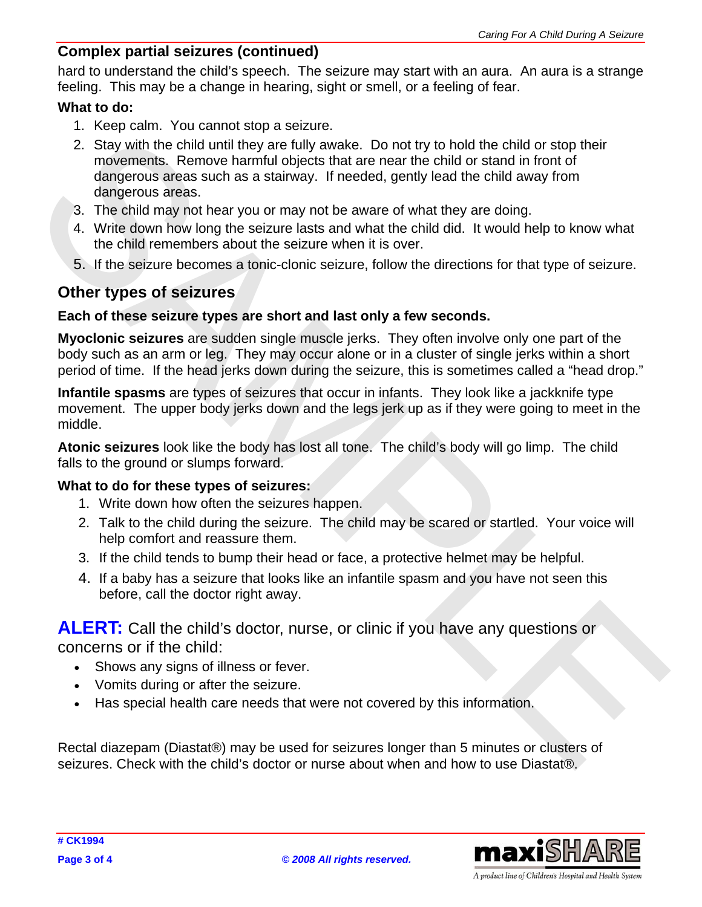#### **Complex partial seizures (continued)**

hard to understand the child's speech. The seizure may start with an aura. An aura is a strange feeling. This may be a change in hearing, sight or smell, or a feeling of fear.

#### **What to do:**

- 1. Keep calm. You cannot stop a seizure.
- 2. Stay with the child until they are fully waske. Do not try to hold the child or stop their<br>morements, Remove harmful objects that are nead the child or stand in front of<br>diagnosis areas such as a stativay. If needed, ge 2. Stay with the child until they are fully awake. Do not try to hold the child or stop their movements. Remove harmful objects that are near the child or stand in front of dangerous areas such as a stairway. If needed, gently lead the child away from dangerous areas.
	- 3. The child may not hear you or may not be aware of what they are doing.
	- 4. Write down how long the seizure lasts and what the child did. It would help to know what the child remembers about the seizure when it is over.
	- 5. If the seizure becomes a tonic-clonic seizure, follow the directions for that type of seizure.

### **Other types of seizures**

#### **Each of these seizure types are short and last only a few seconds.**

**Myoclonic seizures** are sudden single muscle jerks. They often involve only one part of the body such as an arm or leg. They may occur alone or in a cluster of single jerks within a short period of time. If the head jerks down during the seizure, this is sometimes called a "head drop."

**Infantile spasms** are types of seizures that occur in infants. They look like a jackknife type movement. The upper body jerks down and the legs jerk up as if they were going to meet in the middle.

**Atonic seizures** look like the body has lost all tone. The child's body will go limp. The child falls to the ground or slumps forward.

#### **What to do for these types of seizures:**

- 1. Write down how often the seizures happen.
- 2. Talk to the child during the seizure. The child may be scared or startled. Your voice will help comfort and reassure them.
- 3. If the child tends to bump their head or face, a protective helmet may be helpful.
- 4. If a baby has a seizure that looks like an infantile spasm and you have not seen this before, call the doctor right away.

**ALERT:** Call the child's doctor, nurse, or clinic if you have any questions or concerns or if the child:

- Shows any signs of illness or fever.
- Vomits during or after the seizure.
- Has special health care needs that were not covered by this information.

Rectal diazepam (Diastat®) may be used for seizures longer than 5 minutes or clusters of seizures. Check with the child's doctor or nurse about when and how to use Diastat®.



A product line of Children's Hospital and Health System